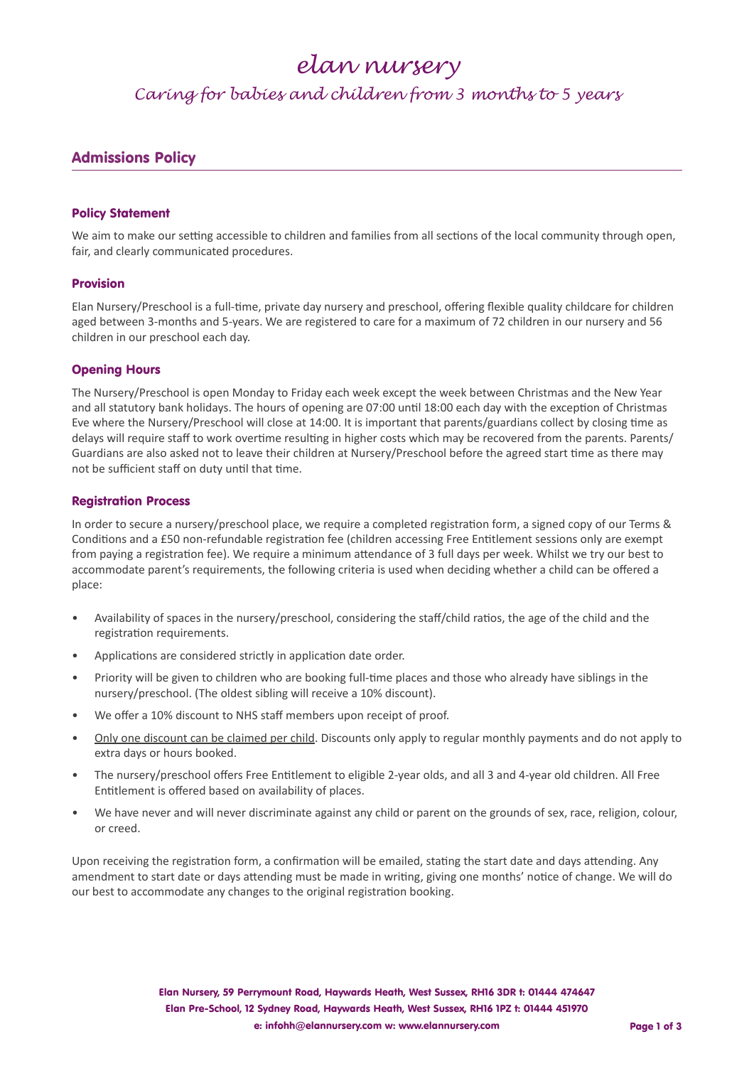## *elan nursery*

*Caring for babies and children from 3 months to 5 years*

### Admissions Policy

#### Policy Statement

We aim to make our setting accessible to children and families from all sections of the local community through open, fair, and clearly communicated procedures.

#### Provision

Elan Nursery/Preschool is a full-time, private day nursery and preschool, offering flexible quality childcare for children aged between 3-months and 5-years. We are registered to care for a maximum of 72 children in our nursery and 56 children in our preschool each day.

#### Opening Hours

The Nursery/Preschool is open Monday to Friday each week except the week between Christmas and the New Year and all statutory bank holidays. The hours of opening are 07:00 until 18:00 each day with the exception of Christmas Eve where the Nursery/Preschool will close at 14:00. It is important that parents/guardians collect by closing time as delays will require staff to work overtime resulting in higher costs which may be recovered from the parents. Parents/ Guardians are also asked not to leave their children at Nursery/Preschool before the agreed start time as there may not be sufficient staff on duty until that time.

#### Registration Process

In order to secure a nursery/preschool place, we require a completed registration form, a signed copy of our Terms & Conditions and a £50 non-refundable registration fee (children accessing Free Entitlement sessions only are exempt from paying a registration fee). We require a minimum attendance of 3 full days per week. Whilst we try our best to accommodate parent's requirements, the following criteria is used when deciding whether a child can be offered a place:

- Availability of spaces in the nursery/preschool, considering the staff/child ratios, the age of the child and the registration requirements.
- Applications are considered strictly in application date order.
- Priority will be given to children who are booking full-time places and those who already have siblings in the nursery/preschool. (The oldest sibling will receive a 10% discount).
- We offer a 10% discount to NHS staff members upon receipt of proof.
- Only one discount can be claimed per child. Discounts only apply to regular monthly payments and do not apply to extra days or hours booked.
- The nursery/preschool offers Free Entitlement to eligible 2-year olds, and all 3 and 4-year old children. All Free Entitlement is offered based on availability of places.
- We have never and will never discriminate against any child or parent on the grounds of sex, race, religion, colour, or creed.

Upon receiving the registration form, a confirmation will be emailed, stating the start date and days attending. Any amendment to start date or days attending must be made in writing, giving one months' notice of change. We will do our best to accommodate any changes to the original registration booking.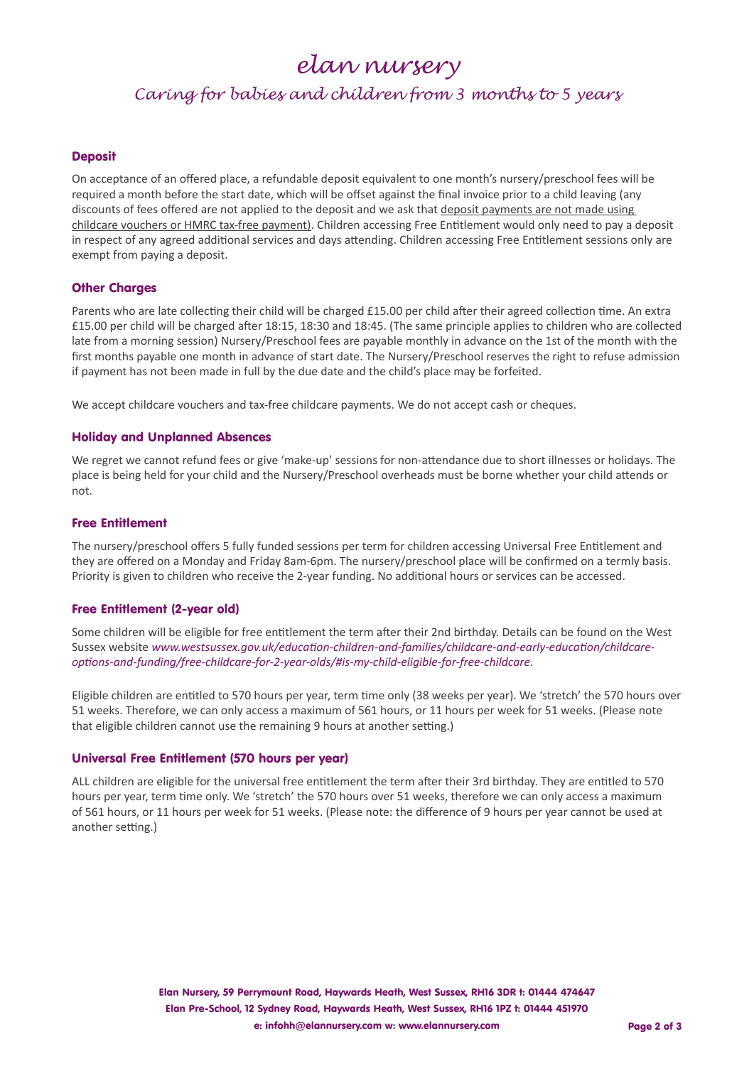*elan nursery*

*Caring for babies and children from 3 months to 5 years*

#### **Deposit**

On acceptance of an offered place, a refundable deposit equivalent to one month's nursery/preschool fees will be required a month before the start date, which will be offset against the final invoice prior to a child leaving (any discounts of fees offered are not applied to the deposit and we ask that deposit payments are not made using childcare vouchers or HMRC tax-free payment). Children accessing Free Entitlement would only need to pay a deposit in respect of any agreed additional services and days attending. Children accessing Free Entitlement sessions only are exempt from paying a deposit.

#### Other Charges

Parents who are late collecting their child will be charged £15.00 per child after their agreed collection time. An extra £15.00 per child will be charged after 18:15, 18:30 and 18:45. (The same principle applies to children who are collected late from a morning session) Nursery/Preschool fees are payable monthly in advance on the 1st of the month with the first months payable one month in advance of start date. The Nursery/Preschool reserves the right to refuse admission if payment has not been made in full by the due date and the child's place may be forfeited.

We accept childcare vouchers and tax-free childcare payments. We do not accept cash or cheques.

#### Holiday and Unplanned Absences

We regret we cannot refund fees or give 'make-up' sessions for non-attendance due to short illnesses or holidays. The place is being held for your child and the Nursery/Preschool overheads must be borne whether your child attends or not.

#### Free Entitlement

The nursery/preschool offers 5 fully funded sessions per term for children accessing Universal Free Entitlement and they are offered on a Monday and Friday 8am-6pm. The nursery/preschool place will be confirmed on a termly basis. Priority is given to children who receive the 2-year funding. No additional hours or services can be accessed.

#### Free Entitlement (2-year old)

Some children will be eligible for free entitlement the term after their 2nd birthday. Details can be found on the West Sussex website *www.westsussex.gov.uk/education-children-and-families/childcare-and-early-education/childcareoptions-and-funding/free-childcare-for-2-year-olds/#is-my-child-eligible-for-free-childcare*.

Eligible children are entitled to 570 hours per year, term time only (38 weeks per year). We 'stretch' the 570 hours over 51 weeks. Therefore, we can only access a maximum of 561 hours, or 11 hours per week for 51 weeks. (Please note that eligible children cannot use the remaining 9 hours at another setting.)

#### Universal Free Entitlement (570 hours per year)

ALL children are eligible for the universal free entitlement the term after their 3rd birthday. They are entitled to 570 hours per year, term time only. We 'stretch' the 570 hours over 51 weeks, therefore we can only access a maximum of 561 hours, or 11 hours per week for 51 weeks. (Please note: the difference of 9 hours per year cannot be used at another setting.)